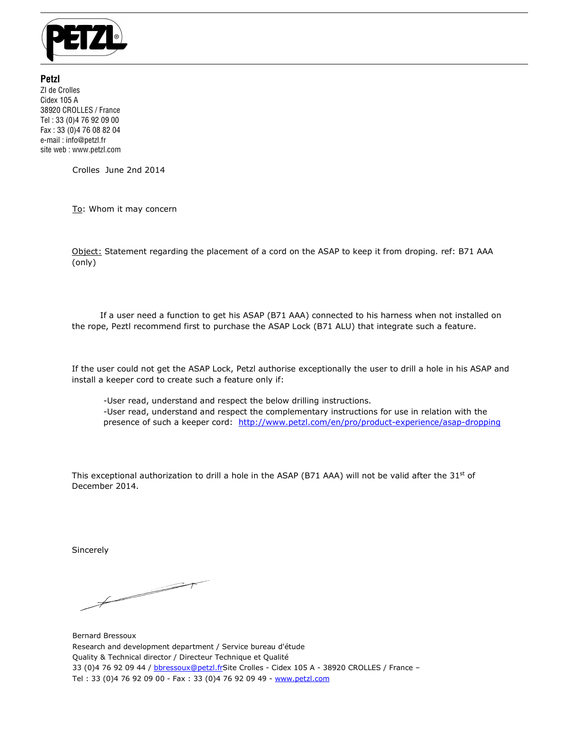

**Petzl**  ZI de Crolles Cidex 105 A 38920 CROLLES / France Tel : 33 (0)4 76 92 09 00 Fax : 33 (0)4 76 08 82 04 e-mail : info@petzl.fr site web : www.petzl.com

Crolles June 2nd 2014

To: Whom it may concern

Object: Statement regarding the placement of a cord on the ASAP to keep it from droping. ref: B71 AAA (only)

 If a user need a function to get his ASAP (B71 AAA) connected to his harness when not installed on the rope, Peztl recommend first to purchase the ASAP Lock (B71 ALU) that integrate such a feature.

If the user could not get the ASAP Lock, Petzl authorise exceptionally the user to drill a hole in his ASAP and install a keeper cord to create such a feature only if:

-User read, understand and respect the below drilling instructions.

-User read, understand and respect the complementary instructions for use in relation with the presence of such a keeper cord: http://www.petzl.com/en/pro/product-experience/asap-dropping

This exceptional authorization to drill a hole in the ASAP (B71 AAA) will not be valid after the 31st of December 2014.

Sincerely

 $\overline{\phantom{1}}$ 

Bernard Bressoux Research and development department / Service bureau d'étude Quality & Technical director / Directeur Technique et Qualité 33 (0)4 76 92 09 44 / bbressoux@petzl.frSite Crolles - Cidex 105 A - 38920 CROLLES / France – Tel : 33 (0)4 76 92 09 00 - Fax : 33 (0)4 76 92 09 49 - www.petzl.com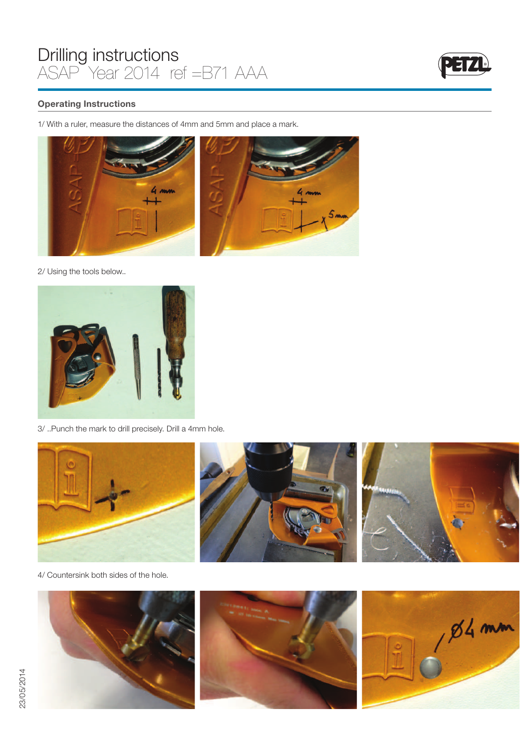

## Operating Instructions

1/ With a ruler, measure the distances of 4mm and 5mm and place a mark.



2/ Using the tools below..



3/ ..Punch the mark to drill precisely. Drill a 4mm hole.



4/ Countersink both sides of the hole.